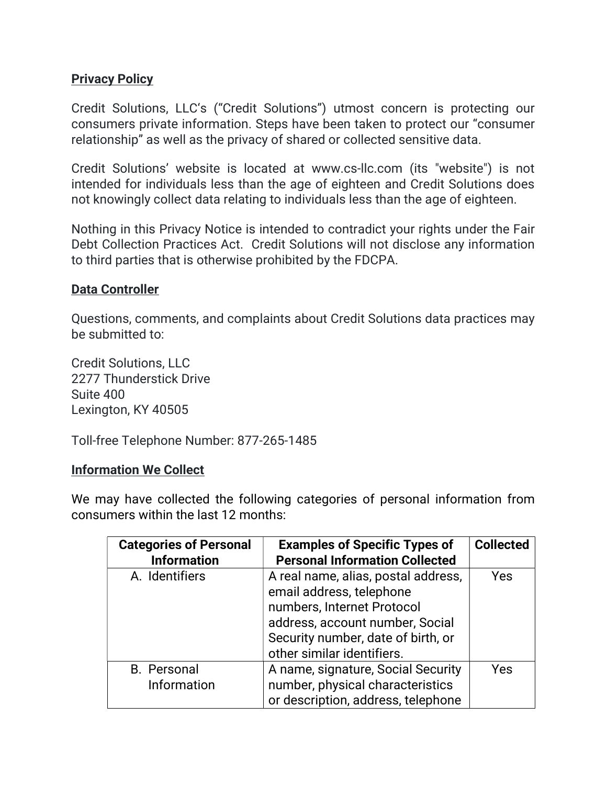## **Privacy Policy**

Credit Solutions, LLC's ("Credit Solutions") utmost concern is protecting our consumers private information. Steps have been taken to protect our "consumer relationship" as well as the privacy of shared or collected sensitive data.

Credit Solutions' website is located at www.cs-llc.com (its "website") is not intended for individuals less than the age of eighteen and Credit Solutions does not knowingly collect data relating to individuals less than the age of eighteen.

Nothing in this Privacy Notice is intended to contradict your rights under the Fair Debt Collection Practices Act. Credit Solutions will not disclose any information to third parties that is otherwise prohibited by the FDCPA.

#### Data Controller

Questions, comments, and complaints about Credit Solutions data practices may be submitted to:

Credit Solutions, LLC 2277 Thunderstick Drive Suite 400 Lexington, KY 40505

Toll-free Telephone Number: 877-265-1485

#### Information We Collect

We may have collected the following categories of personal information from consumers within the last 12 months:

| <b>Categories of Personal</b><br><b>Information</b> | <b>Examples of Specific Types of</b><br><b>Personal Information Collected</b>                                                                                                                        | <b>Collected</b> |
|-----------------------------------------------------|------------------------------------------------------------------------------------------------------------------------------------------------------------------------------------------------------|------------------|
| A. Identifiers                                      | A real name, alias, postal address,<br>email address, telephone<br>numbers, Internet Protocol<br>address, account number, Social<br>Security number, date of birth, or<br>other similar identifiers. | <b>Yes</b>       |
| <b>B.</b> Personal<br>Information                   | A name, signature, Social Security<br>number, physical characteristics<br>or description, address, telephone                                                                                         | Yes              |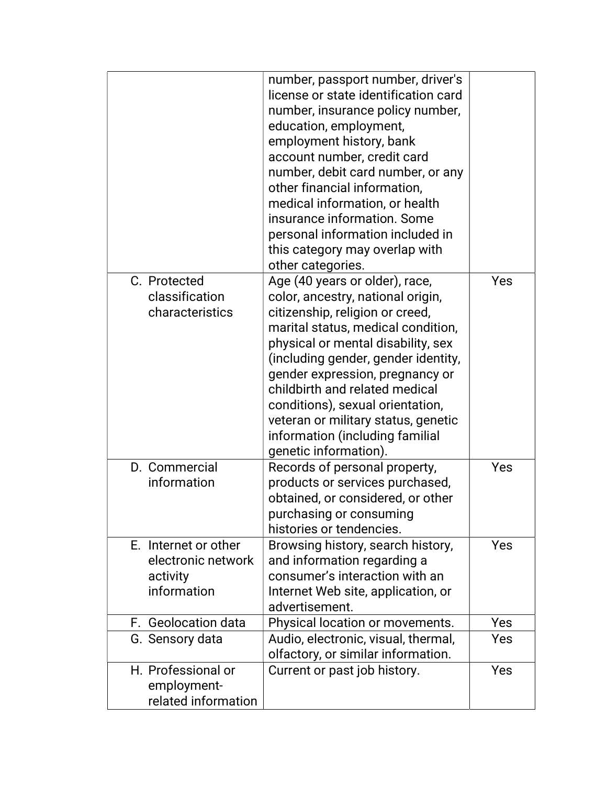|                                                                       | number, passport number, driver's<br>license or state identification card<br>number, insurance policy number,<br>education, employment,<br>employment history, bank<br>account number, credit card<br>number, debit card number, or any<br>other financial information,<br>medical information, or health<br>insurance information. Some<br>personal information included in<br>this category may overlap with<br>other categories.   |     |
|-----------------------------------------------------------------------|---------------------------------------------------------------------------------------------------------------------------------------------------------------------------------------------------------------------------------------------------------------------------------------------------------------------------------------------------------------------------------------------------------------------------------------|-----|
| C. Protected<br>classification<br>characteristics                     | Age (40 years or older), race,<br>color, ancestry, national origin,<br>citizenship, religion or creed,<br>marital status, medical condition,<br>physical or mental disability, sex<br>(including gender, gender identity,<br>gender expression, pregnancy or<br>childbirth and related medical<br>conditions), sexual orientation,<br>veteran or military status, genetic<br>information (including familial<br>genetic information). | Yes |
| D. Commercial<br>information                                          | Records of personal property,<br>products or services purchased,<br>obtained, or considered, or other<br>purchasing or consuming<br>histories or tendencies.                                                                                                                                                                                                                                                                          | Yes |
| E. Internet or other<br>electronic network<br>activity<br>information | Browsing history, search history,<br>and information regarding a<br>consumer's interaction with an<br>Internet Web site, application, or<br>advertisement.                                                                                                                                                                                                                                                                            | Yes |
| F. Geolocation data                                                   | Physical location or movements.                                                                                                                                                                                                                                                                                                                                                                                                       | Yes |
| G. Sensory data                                                       | Audio, electronic, visual, thermal,<br>olfactory, or similar information.                                                                                                                                                                                                                                                                                                                                                             | Yes |
| H. Professional or<br>employment-<br>related information              | Current or past job history.                                                                                                                                                                                                                                                                                                                                                                                                          | Yes |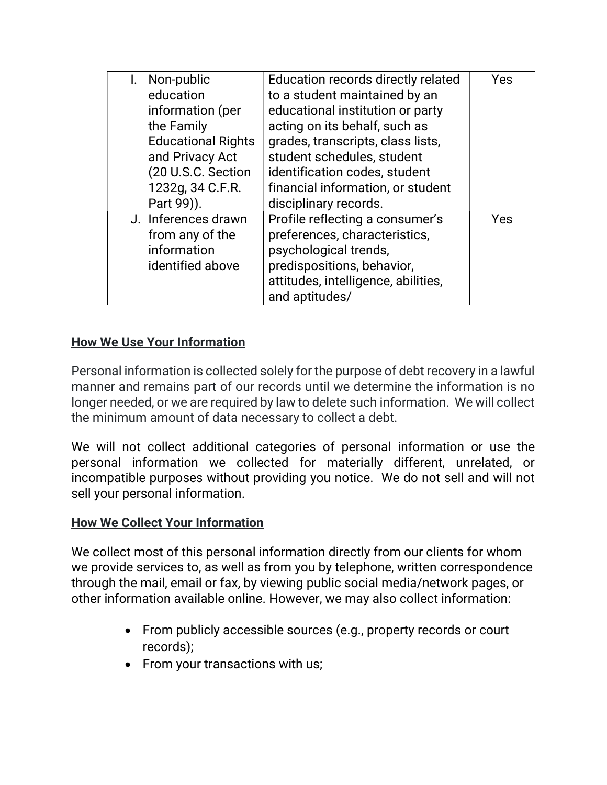| Non-public                | Education records directly related  | Yes |
|---------------------------|-------------------------------------|-----|
| education                 | to a student maintained by an       |     |
| information (per          | educational institution or party    |     |
| the Family                | acting on its behalf, such as       |     |
| <b>Educational Rights</b> | grades, transcripts, class lists,   |     |
| and Privacy Act           | student schedules, student          |     |
| (20 U.S.C. Section        | identification codes, student       |     |
| 1232g, 34 C.F.R.          | financial information, or student   |     |
| Part 99)).                | disciplinary records.               |     |
| J. Inferences drawn       | Profile reflecting a consumer's     | Yes |
| from any of the           | preferences, characteristics,       |     |
| information               | psychological trends,               |     |
| identified above          | predispositions, behavior,          |     |
|                           | attitudes, intelligence, abilities, |     |
|                           | and aptitudes/                      |     |

# How We Use Your Information

Personal information is collected solely for the purpose of debt recovery in a lawful manner and remains part of our records until we determine the information is no longer needed, or we are required by law to delete such information. We will collect the minimum amount of data necessary to collect a debt.

We will not collect additional categories of personal information or use the personal information we collected for materially different, unrelated, or incompatible purposes without providing you notice. We do not sell and will not sell your personal information.

# How We Collect Your Information

We collect most of this personal information directly from our clients for whom we provide services to, as well as from you by telephone, written correspondence through the mail, email or fax, by viewing public social media/network pages, or other information available online. However, we may also collect information:

- From publicly accessible sources (e.g., property records or court records);
- From your transactions with us;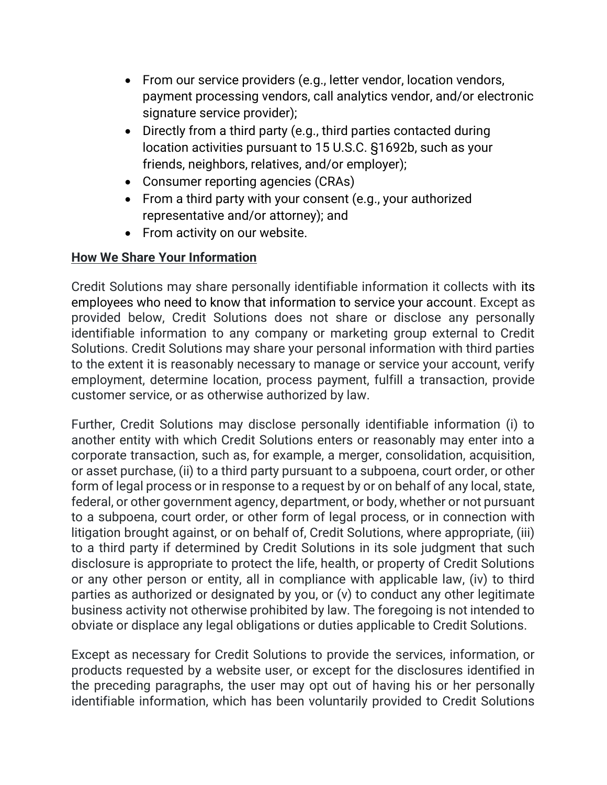- From our service providers (e.g., letter vendor, location vendors, payment processing vendors, call analytics vendor, and/or electronic signature service provider);
- Directly from a third party (e.g., third parties contacted during location activities pursuant to 15 U.S.C. §1692b, such as your friends, neighbors, relatives, and/or employer);
- Consumer reporting agencies (CRAs)
- From a third party with your consent (e.g., your authorized representative and/or attorney); and
- From activity on our website.

# How We Share Your Information

Credit Solutions may share personally identifiable information it collects with its employees who need to know that information to service your account. Except as provided below, Credit Solutions does not share or disclose any personally identifiable information to any company or marketing group external to Credit Solutions. Credit Solutions may share your personal information with third parties to the extent it is reasonably necessary to manage or service your account, verify employment, determine location, process payment, fulfill a transaction, provide customer service, or as otherwise authorized by law.

Further, Credit Solutions may disclose personally identifiable information (i) to another entity with which Credit Solutions enters or reasonably may enter into a corporate transaction, such as, for example, a merger, consolidation, acquisition, or asset purchase, (ii) to a third party pursuant to a subpoena, court order, or other form of legal process or in response to a request by or on behalf of any local, state, federal, or other government agency, department, or body, whether or not pursuant to a subpoena, court order, or other form of legal process, or in connection with litigation brought against, or on behalf of, Credit Solutions, where appropriate, (iii) to a third party if determined by Credit Solutions in its sole judgment that such disclosure is appropriate to protect the life, health, or property of Credit Solutions or any other person or entity, all in compliance with applicable law, (iv) to third parties as authorized or designated by you, or (v) to conduct any other legitimate business activity not otherwise prohibited by law. The foregoing is not intended to obviate or displace any legal obligations or duties applicable to Credit Solutions.

Except as necessary for Credit Solutions to provide the services, information, or products requested by a website user, or except for the disclosures identified in the preceding paragraphs, the user may opt out of having his or her personally identifiable information, which has been voluntarily provided to Credit Solutions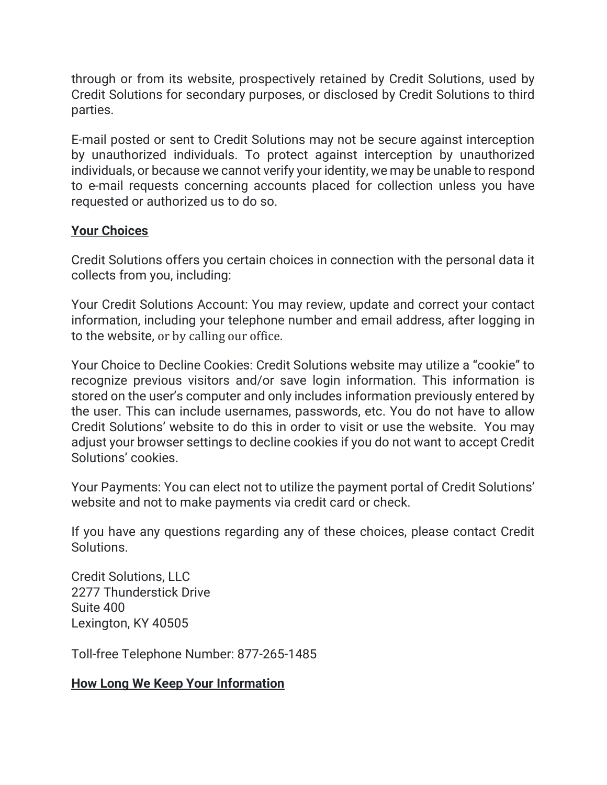through or from its website, prospectively retained by Credit Solutions, used by Credit Solutions for secondary purposes, or disclosed by Credit Solutions to third parties.

E-mail posted or sent to Credit Solutions may not be secure against interception by unauthorized individuals. To protect against interception by unauthorized individuals, or because we cannot verify your identity, we may be unable to respond to e-mail requests concerning accounts placed for collection unless you have requested or authorized us to do so.

## Your Choices

Credit Solutions offers you certain choices in connection with the personal data it collects from you, including:

Your Credit Solutions Account: You may review, update and correct your contact information, including your telephone number and email address, after logging in to the website, or by calling our office.

Your Choice to Decline Cookies: Credit Solutions website may utilize a "cookie" to recognize previous visitors and/or save login information. This information is stored on the user's computer and only includes information previously entered by the user. This can include usernames, passwords, etc. You do not have to allow Credit Solutions' website to do this in order to visit or use the website. You may adjust your browser settings to decline cookies if you do not want to accept Credit Solutions' cookies.

Your Payments: You can elect not to utilize the payment portal of Credit Solutions' website and not to make payments via credit card or check.

If you have any questions regarding any of these choices, please contact Credit **Solutions** 

Credit Solutions, LLC 2277 Thunderstick Drive Suite 400 Lexington, KY 40505

Toll-free Telephone Number: 877-265-1485

# How Long We Keep Your Information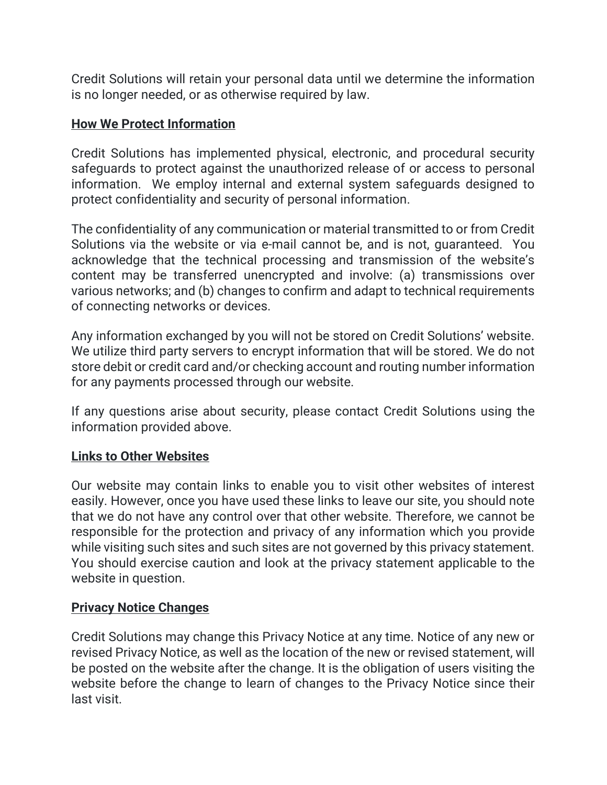Credit Solutions will retain your personal data until we determine the information is no longer needed, or as otherwise required by law.

## How We Protect Information

Credit Solutions has implemented physical, electronic, and procedural security safeguards to protect against the unauthorized release of or access to personal information. We employ internal and external system safeguards designed to protect confidentiality and security of personal information.

The confidentiality of any communication or material transmitted to or from Credit Solutions via the website or via e-mail cannot be, and is not, guaranteed. You acknowledge that the technical processing and transmission of the website's content may be transferred unencrypted and involve: (a) transmissions over various networks; and (b) changes to confirm and adapt to technical requirements of connecting networks or devices.

Any information exchanged by you will not be stored on Credit Solutions' website. We utilize third party servers to encrypt information that will be stored. We do not store debit or credit card and/or checking account and routing number information for any payments processed through our website.

If any questions arise about security, please contact Credit Solutions using the information provided above.

#### Links to Other Websites

Our website may contain links to enable you to visit other websites of interest easily. However, once you have used these links to leave our site, you should note that we do not have any control over that other website. Therefore, we cannot be responsible for the protection and privacy of any information which you provide while visiting such sites and such sites are not governed by this privacy statement. You should exercise caution and look at the privacy statement applicable to the website in question.

#### Privacy Notice Changes

Credit Solutions may change this Privacy Notice at any time. Notice of any new or revised Privacy Notice, as well as the location of the new or revised statement, will be posted on the website after the change. It is the obligation of users visiting the website before the change to learn of changes to the Privacy Notice since their last visit.